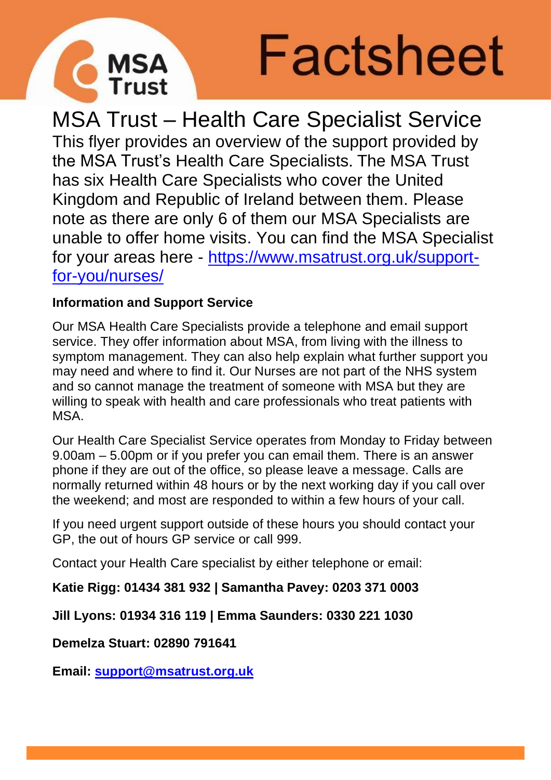



MSA Trust – Health Care Specialist Service This flyer provides an overview of the support provided by the MSA Trust's Health Care Specialists. The MSA Trust has six Health Care Specialists who cover the United Kingdom and Republic of Ireland between them. Please note as there are only 6 of them our MSA Specialists are unable to offer home visits. You can find the MSA Specialist for your areas here - [https://www.msatrust.org.uk/support](https://www.msatrust.org.uk/support-for-you/nurses/)[for-you/nurses/](https://www.msatrust.org.uk/support-for-you/nurses/)

## **Information and Support Service**

Our MSA Health Care Specialists provide a telephone and email support service. They offer information about MSA, from living with the illness to symptom management. They can also help explain what further support you may need and where to find it. Our Nurses are not part of the NHS system and so cannot manage the treatment of someone with MSA but they are willing to speak with health and care professionals who treat patients with MSA.

Our Health Care Specialist Service operates from Monday to Friday between 9.00am – 5.00pm or if you prefer you can email them. There is an answer phone if they are out of the office, so please leave a message. Calls are normally returned within 48 hours or by the next working day if you call over the weekend; and most are responded to within a few hours of your call.

If you need urgent support outside of these hours you should contact your GP, the out of hours GP service or call 999.

Contact your Health Care specialist by either telephone or email:

**Katie Rigg: 01434 381 932 | Samantha Pavey: 0203 371 0003**

**Jill Lyons: 01934 316 119 | Emma Saunders: 0330 221 1030**

**Demelza Stuart: 02890 791641**

**Email: [support@msatrust.org.uk](mailto:support@msatrust.org.uk)**